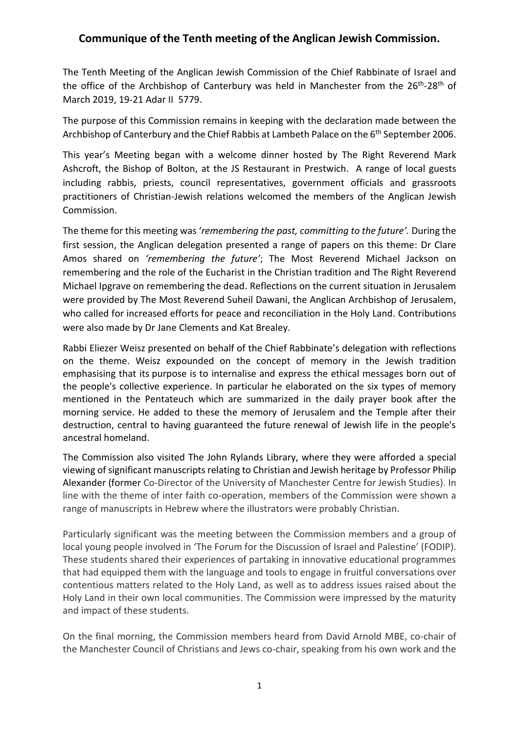## **Communique of the Tenth meeting of the Anglican Jewish Commission.**

The Tenth Meeting of the Anglican Jewish Commission of the Chief Rabbinate of Israel and the office of the Archbishop of Canterbury was held in Manchester from the 26<sup>th</sup>-28<sup>th</sup> of March 2019, 19-21 Adar II 5779.

The purpose of this Commission remains in keeping with the declaration made between the Archbishop of Canterbury and the Chief Rabbis at Lambeth Palace on the 6<sup>th</sup> September 2006.

This year's Meeting began with a welcome dinner hosted by The Right Reverend Mark Ashcroft, the Bishop of Bolton, at the JS Restaurant in Prestwich. A range of local guests including rabbis, priests, council representatives, government officials and grassroots practitioners of Christian-Jewish relations welcomed the members of the Anglican Jewish Commission.

The theme for this meeting was '*remembering the past, committing to the future'.* During the first session, the Anglican delegation presented a range of papers on this theme: Dr Clare Amos shared on *'remembering the future'*; The Most Reverend Michael Jackson on remembering and the role of the Eucharist in the Christian tradition and The Right Reverend Michael Ipgrave on remembering the dead. Reflections on the current situation in Jerusalem were provided by The Most Reverend Suheil Dawani, the Anglican Archbishop of Jerusalem, who called for increased efforts for peace and reconciliation in the Holy Land. Contributions were also made by Dr Jane Clements and Kat Brealey.

Rabbi Eliezer Weisz presented on behalf of the Chief Rabbinate's delegation with reflections on the theme. Weisz expounded on the concept of memory in the Jewish tradition emphasising that its purpose is to internalise and express the ethical messages born out of the people's collective experience. In particular he elaborated on the six types of memory mentioned in the Pentateuch which are summarized in the daily prayer book after the morning service. He added to these the memory of Jerusalem and the Temple after their destruction, central to having guaranteed the future renewal of Jewish life in the people's ancestral homeland.

The Commission also visited The John Rylands Library, where they were afforded a special viewing of significant manuscripts relating to Christian and Jewish heritage by Professor Philip Alexander (former Co-Director of the University of Manchester Centre for Jewish Studies). In line with the theme of inter faith co-operation, members of the Commission were shown a range of manuscripts in Hebrew where the illustrators were probably Christian.

Particularly significant was the meeting between the Commission members and a group of local young people involved in 'The Forum for the Discussion of Israel and Palestine' (FODIP). These students shared their experiences of partaking in innovative educational programmes that had equipped them with the language and tools to engage in fruitful conversations over contentious matters related to the Holy Land, as well as to address issues raised about the Holy Land in their own local communities. The Commission were impressed by the maturity and impact of these students.

On the final morning, the Commission members heard from David Arnold MBE, co-chair of the Manchester Council of Christians and Jews co-chair, speaking from his own work and the